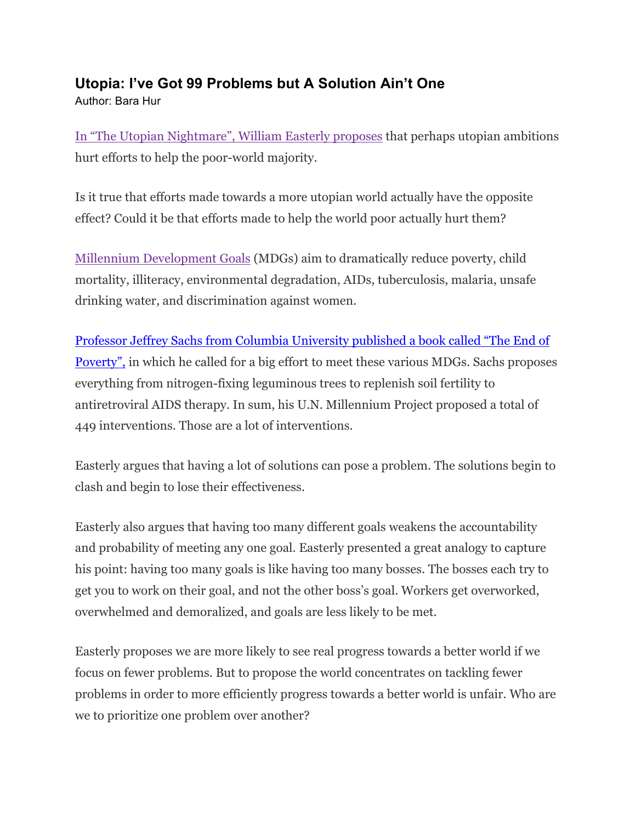## **Utopia: I've Got 99 Problems but A Solution Ain't One**

Author: Bara Hur

In "The Utopian Nightmare", William Easterly proposes that perhaps utopian ambitions hurt efforts to help the poor-world majority.

Is it true that efforts made towards a more utopian world actually have the opposite effect? Could it be that efforts made to help the world poor actually hurt them?

Millennium Development Goals (MDGs) aim to dramatically reduce poverty, child mortality, illiteracy, environmental degradation, AIDs, tuberculosis, malaria, unsafe drinking water, and discrimination against women.

Professor Jeffrey Sachs from Columbia University published a book called "The End of Poverty", in which he called for a big effort to meet these various MDGs. Sachs proposes everything from nitrogen-fixing leguminous trees to replenish soil fertility to antiretroviral AIDS therapy. In sum, his U.N. Millennium Project proposed a total of 449 interventions. Those are a lot of interventions.

Easterly argues that having a lot of solutions can pose a problem. The solutions begin to clash and begin to lose their effectiveness.

Easterly also argues that having too many different goals weakens the accountability and probability of meeting any one goal. Easterly presented a great analogy to capture his point: having too many goals is like having too many bosses. The bosses each try to get you to work on their goal, and not the other boss's goal. Workers get overworked, overwhelmed and demoralized, and goals are less likely to be met.

Easterly proposes we are more likely to see real progress towards a better world if we focus on fewer problems. But to propose the world concentrates on tackling fewer problems in order to more efficiently progress towards a better world is unfair. Who are we to prioritize one problem over another?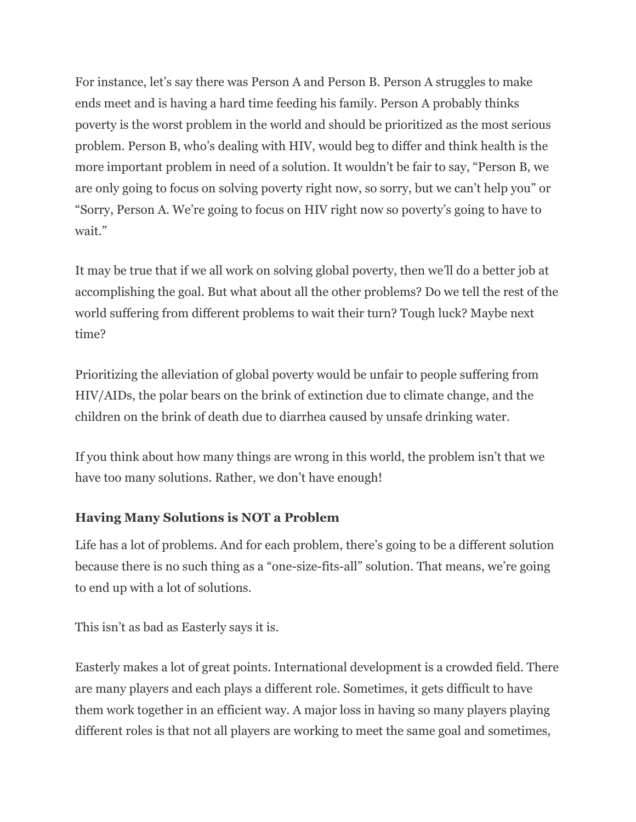For instance, let's say there was Person A and Person B. Person A struggles to make ends meet and is having a hard time feeding his family. Person A probably thinks poverty is the worst problem in the world and should be prioritized as the most serious problem. Person B, who's dealing with HIV, would beg to differ and think health is the more important problem in need of a solution. It wouldn't be fair to say, "Person B, we are only going to focus on solving poverty right now, so sorry, but we can't help you" or "Sorry, Person A. We're going to focus on HIV right now so poverty's going to have to wait."

It may be true that if we all work on solving global poverty, then we'll do a better job at accomplishing the goal. But what about all the other problems? Do we tell the rest of the world suffering from different problems to wait their turn? Tough luck? Maybe next time?

Prioritizing the alleviation of global poverty would be unfair to people suffering from HIV/AIDs, the polar bears on the brink of extinction due to climate change, and the children on the brink of death due to diarrhea caused by unsafe drinking water.

If you think about how many things are wrong in this world, the problem isn't that we have too many solutions. Rather, we don't have enough!

## **Having Many Solutions is NOT a Problem**

Life has a lot of problems. And for each problem, there's going to be a different solution because there is no such thing as a "one-size-fits-all" solution. That means, we're going to end up with a lot of solutions.

This isn't as bad as Easterly says it is.

Easterly makes a lot of great points. International development is a crowded field. There are many players and each plays a different role. Sometimes, it gets difficult to have them work together in an efficient way. A major loss in having so many players playing different roles is that not all players are working to meet the same goal and sometimes,